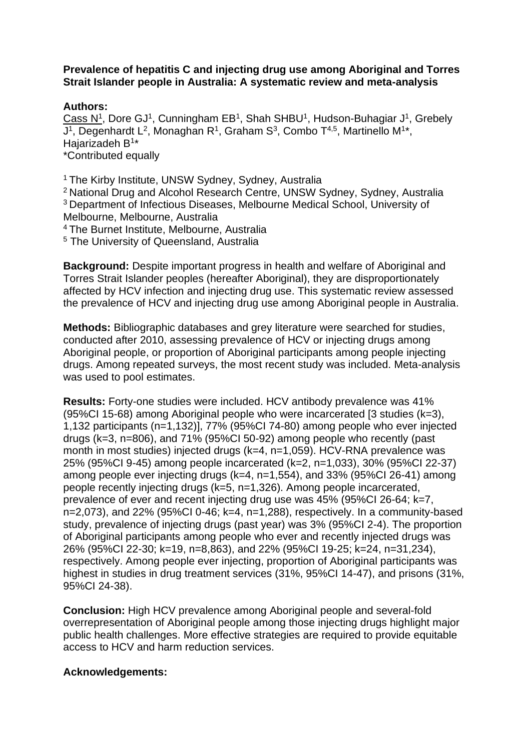## **Prevalence of hepatitis C and injecting drug use among Aboriginal and Torres Strait Islander people in Australia: A systematic review and meta-analysis**

## **Authors:**

Cass N<sup>1</sup>, Dore GJ<sup>1</sup>, Cunningham EB<sup>1</sup>, Shah SHBU<sup>1</sup>, Hudson-Buhagiar J<sup>1</sup>, Grebely J<sup>1</sup>, Degenhardt L<sup>2</sup>, Monaghan R<sup>1</sup>, Graham S<sup>3</sup>, Combo T<sup>4,5</sup>, Martinello M<sup>1\*</sup>, Hajarizadeh B<sup>1\*</sup> \*Contributed equally

<sup>1</sup> The Kirby Institute, UNSW Sydney, Sydney, Australia

<sup>2</sup>National Drug and Alcohol Research Centre, UNSW Sydney, Sydney, Australia <sup>3</sup>Department of Infectious Diseases, Melbourne Medical School, University of Melbourne, Melbourne, Australia

<sup>4</sup>The Burnet Institute, Melbourne, Australia

<sup>5</sup> The University of Queensland, Australia

**Background:** Despite important progress in health and welfare of Aboriginal and Torres Strait Islander peoples (hereafter Aboriginal), they are disproportionately affected by HCV infection and injecting drug use. This systematic review assessed the prevalence of HCV and injecting drug use among Aboriginal people in Australia.

**Methods:** Bibliographic databases and grey literature were searched for studies, conducted after 2010, assessing prevalence of HCV or injecting drugs among Aboriginal people, or proportion of Aboriginal participants among people injecting drugs. Among repeated surveys, the most recent study was included. Meta-analysis was used to pool estimates.

**Results:** Forty-one studies were included. HCV antibody prevalence was 41% (95%CI 15-68) among Aboriginal people who were incarcerated [3 studies (k=3), 1,132 participants (n=1,132)], 77% (95%CI 74-80) among people who ever injected drugs (k=3, n=806), and 71% (95%CI 50-92) among people who recently (past month in most studies) injected drugs (k=4, n=1,059). HCV-RNA prevalence was 25% (95%CI 9-45) among people incarcerated (k=2, n=1,033), 30% (95%CI 22-37) among people ever injecting drugs (k=4, n=1,554), and 33% (95%CI 26-41) among people recently injecting drugs (k=5, n=1,326). Among people incarcerated, prevalence of ever and recent injecting drug use was 45% (95%CI 26-64; k=7,  $n=2.073$ ), and 22% (95%CI 0-46; k=4, n=1,288), respectively. In a community-based study, prevalence of injecting drugs (past year) was 3% (95%CI 2-4). The proportion of Aboriginal participants among people who ever and recently injected drugs was 26% (95%CI 22-30; k=19, n=8,863), and 22% (95%CI 19-25; k=24, n=31,234), respectively. Among people ever injecting, proportion of Aboriginal participants was highest in studies in drug treatment services (31%, 95%CI 14-47), and prisons (31%, 95%CI 24-38).

**Conclusion:** High HCV prevalence among Aboriginal people and several-fold overrepresentation of Aboriginal people among those injecting drugs highlight major public health challenges. More effective strategies are required to provide equitable access to HCV and harm reduction services.

## **Acknowledgements:**